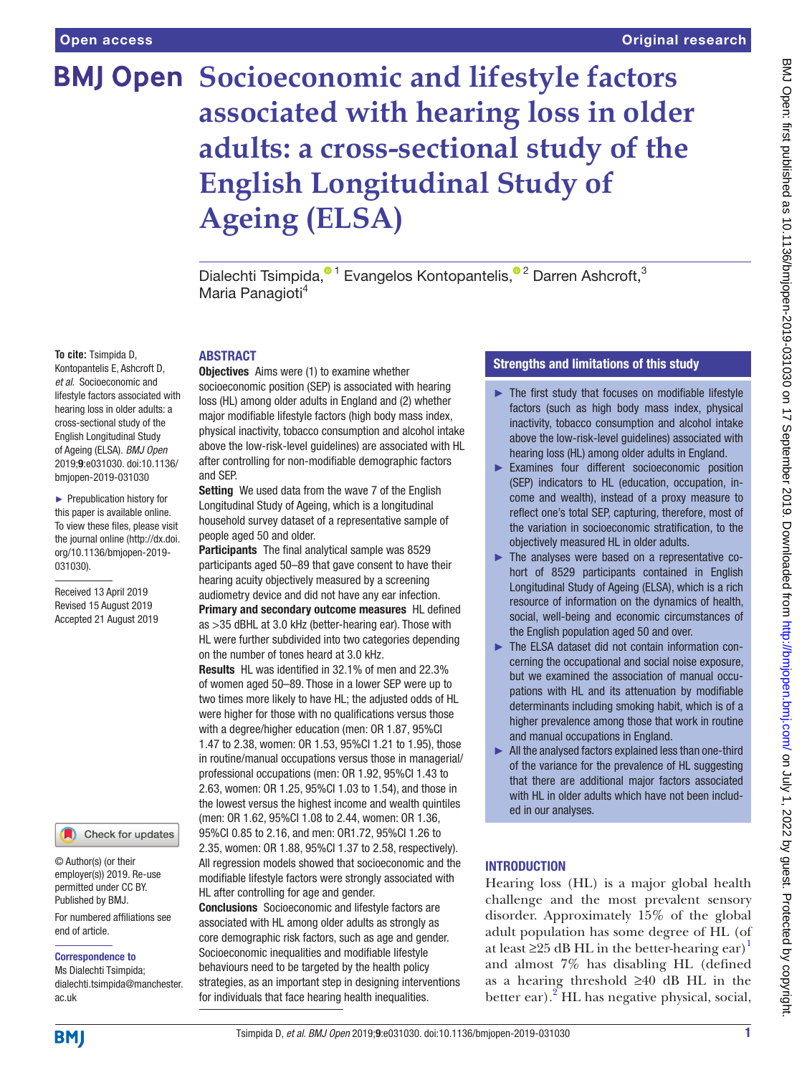# **BMJ Open Socioeconomic and lifestyle factors associated with hearing loss in older adults: a cross-sectional study of the English Longitudinal Study of Ageing (ELSA)**

Dialechti Tsimpida[,](http://orcid.org/0000-0002-3709-5651)<sup>®1</sup> Evangelos Kontopantelis,<sup>®2</sup> Darren Ashcroft,<sup>3</sup> Maria Panagioti<sup>4</sup>

#### **To cite:** Tsimpida D,

Kontopantelis E, Ashcroft D, *et al*. Socioeconomic and lifestyle factors associated with hearing loss in older adults: a cross-sectional study of the English Longitudinal Study of Ageing (ELSA). *BMJ Open* 2019;9:e031030. doi:10.1136/ bmjopen-2019-031030

► Prepublication history for this paper is available online. To view these files, please visit the journal online (http://dx.doi. org/10.1136/bmjopen-2019- 031030).

Received 13 April 2019 Revised 15 August 2019 Accepted 21 August 2019



© Author(s) (or their employer(s)) 2019. Re-use permitted under CC BY. Published by BMJ.

For numbered affiliations see end of article.

#### Correspondence to

Ms Dialechti Tsimpida; dialechti.tsimpida@manchester. ac.uk

# **ABSTRACT**

Objectives Aims were (1) to examine whether socioeconomic position (SEP) is associated with hearing loss (HL) among older adults in England and (2) whether major modifiable lifestyle factors (high body mass index, physical inactivity, tobacco consumption and alcohol intake above the low-risk-level guidelines) are associated with HL after controlling for non-modifiable demographic factors and SEP.

Setting We used data from the wave 7 of the English Longitudinal Study of Ageing, which is a longitudinal household survey dataset of a representative sample of people aged 50 and older.

Participants The final analytical sample was 8529 participants aged 50–89 that gave consent to have their hearing acuity objectively measured by a screening audiometry device and did not have any ear infection. Primary and secondary outcome measures HL defined as >35 dBHL at 3.0 kHz (better-hearing ear). Those with HL were further subdivided into two categories depending

on the number of tones heard at 3.0 kHz. Results HL was identified in 32.1% of men and 22.3% of women aged 50–89. Those in a lower SEP were up to two times more likely to have HL; the adjusted odds of HL were higher for those with no qualifications versus those with a degree/higher education (men: OR 1.87, 95%CI 1.47 to 2.38, women: OR 1.53, 95%CI 1.21 to 1.95), those in routine/manual occupations versus those in managerial/ professional occupations (men: OR 1.92, 95%CI 1.43 to 2.63, women: OR 1.25, 95%CI 1.03 to 1.54), and those in the lowest versus the highest income and wealth quintiles (men: OR 1.62, 95%CI 1.08 to 2.44, women: OR 1.36, 95%CI 0.85 to 2.16, and men: OR1.72, 95%CI 1.26 to 2.35, women: OR 1.88, 95%CI 1.37 to 2.58, respectively). All regression models showed that socioeconomic and the modifiable lifestyle factors were strongly associated with HL after controlling for age and gender.

Conclusions Socioeconomic and lifestyle factors are associated with HL among older adults as strongly as core demographic risk factors, such as age and gender. Socioeconomic inequalities and modifiable lifestyle behaviours need to be targeted by the health policy strategies, as an important step in designing interventions for individuals that face hearing health inequalities.

# Strengths and limitations of this study

- ► The first study that focuses on modifiable lifestyle factors (such as high body mass index, physical inactivity, tobacco consumption and alcohol intake above the low-risk-level guidelines) associated with hearing loss (HL) among older adults in England.
- ► Examines four different socioeconomic position (SEP) indicators to HL (education, occupation, income and wealth), instead of a proxy measure to reflect one's total SEP, capturing, therefore, most of the variation in socioeconomic stratification, to the objectively measured HL in older adults.
- ► The analyses were based on a representative cohort of 8529 participants contained in English Longitudinal Study of Ageing (ELSA), which is a rich resource of information on the dynamics of health, social, well-being and economic circumstances of the English population aged 50 and over.
- ► The ELSA dataset did not contain information concerning the occupational and social noise exposure, but we examined the association of manual occupations with HL and its attenuation by modifiable determinants including smoking habit, which is of a higher prevalence among those that work in routine and manual occupations in England.
- ► All the analysed factors explained less than one-third of the variance for the prevalence of HL suggesting that there are additional major factors associated with HL in older adults which have not been included in our analyses.

## **INTRODUCTION**

Hearing loss (HL) is a major global health challenge and the most prevalent sensory disorder. Approximately 15% of the global adult population has some degree of HL (of at least  $\geq$  25 dB HL in the better-hearing ear)<sup>1</sup> and almost 7% has disabling HL (defined as a hearing threshold ≥40 dB HL in the better ear).<sup>[2](#page-10-1)</sup> HL has negative physical, social,

**BMI**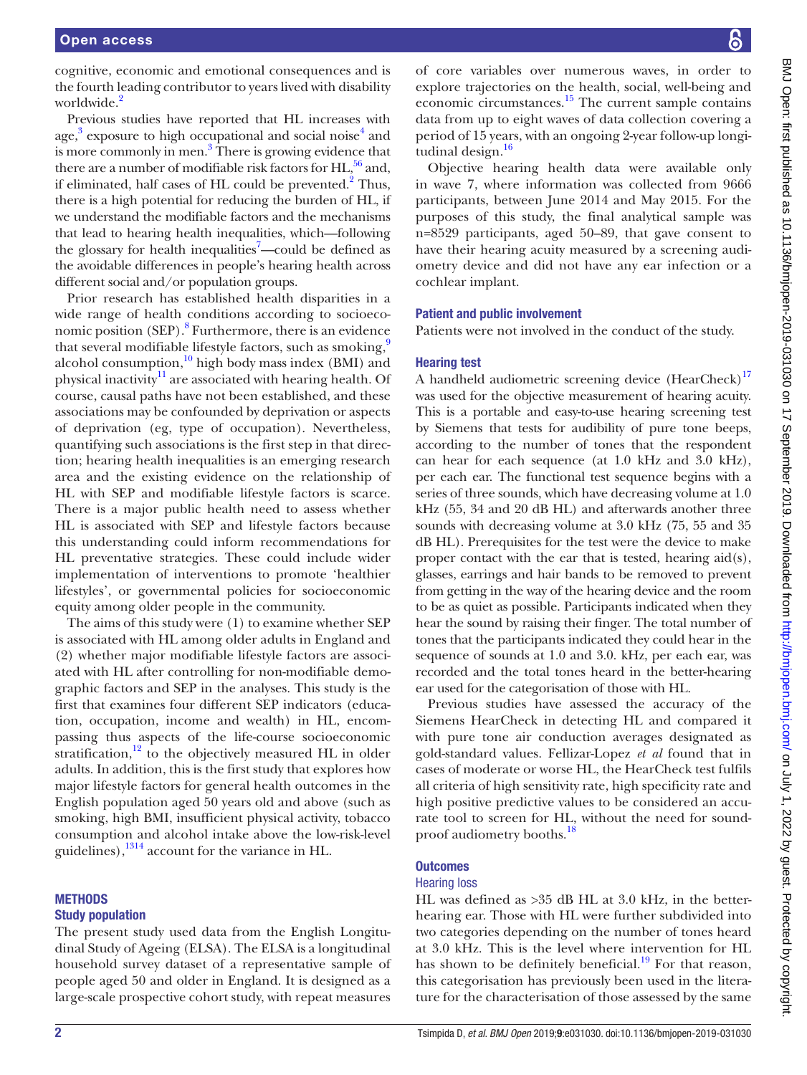cognitive, economic and emotional consequences and is the fourth leading contributor to years lived with disability worldwide.<sup>[2](#page-10-1)</sup>

Previous studies have reported that HL increases with age,<sup>[3](#page-10-2)</sup> exposure to high occupational and social noise<sup>[4](#page-10-3)</sup> and is more commonly in men.<sup>3</sup> There is growing evidence that there are a number of modifiable risk factors for  $HL$ ,<sup>[5](#page-10-4)[6](#page-10-5)</sup> and, if eliminated, half cases of HL could be prevented.<sup>2</sup> Thus, there is a high potential for reducing the burden of HL, if we understand the modifiable factors and the mechanisms that lead to hearing health inequalities, which—following the glossary for health inequalities<sup>7</sup>—could be defined as the avoidable differences in people's hearing health across different social and/or population groups.

Prior research has established health disparities in a wide range of health conditions according to socioeconomic position (SEP).<sup>8</sup> Furthermore, there is an evidence that several modifiable lifestyle factors, such as smoking,<sup>[9](#page-10-8)</sup> alcohol consumption, $10$  high body mass index (BMI) and physical inactivity $^{11}$  are associated with hearing health. Of course, causal paths have not been established, and these associations may be confounded by deprivation or aspects of deprivation (eg, type of occupation). Nevertheless, quantifying such associations is the first step in that direction; hearing health inequalities is an emerging research area and the existing evidence on the relationship of HL with SEP and modifiable lifestyle factors is scarce. There is a major public health need to assess whether HL is associated with SEP and lifestyle factors because this understanding could inform recommendations for HL preventative strategies. These could include wider implementation of interventions to promote 'healthier lifestyles', or governmental policies for socioeconomic equity among older people in the community.

The aims of this study were (1) to examine whether SEP is associated with HL among older adults in England and (2) whether major modifiable lifestyle factors are associated with HL after controlling for non-modifiable demographic factors and SEP in the analyses. This study is the first that examines four different SEP indicators (education, occupation, income and wealth) in HL, encompassing thus aspects of the life-course socioeconomic stratification, $12$  to the objectively measured HL in older adults. In addition, this is the first study that explores how major lifestyle factors for general health outcomes in the English population aged 50 years old and above (such as smoking, high BMI, insufficient physical activity, tobacco consumption and alcohol intake above the low-risk-level guidelines), $^{1314}$  $^{1314}$  $^{1314}$  account for the variance in HL.

## **METHODS**

#### Study population

The present study used data from the English Longitudinal Study of Ageing (ELSA). The ELSA is a longitudinal household survey dataset of a representative sample of people aged 50 and older in England. It is designed as a large-scale prospective cohort study, with repeat measures

of core variables over numerous waves, in order to explore trajectories on the health, social, well-being and economic circumstances. $15$  The current sample contains data from up to eight waves of data collection covering a period of 15 years, with an ongoing 2-year follow-up longi-tudinal design.<sup>[16](#page-10-15)</sup>

Objective hearing health data were available only in wave 7, where information was collected from 9666 participants, between June 2014 and May 2015. For the purposes of this study, the final analytical sample was n=8529 participants, aged 50–89, that gave consent to have their hearing acuity measured by a screening audiometry device and did not have any ear infection or a cochlear implant.

## Patient and public involvement

Patients were not involved in the conduct of the study.

#### Hearing test

A handheld audiometric screening device (HearCheck)<sup>17</sup> was used for the objective measurement of hearing acuity. This is a portable and easy-to-use hearing screening test by Siemens that tests for audibility of pure tone beeps, according to the number of tones that the respondent can hear for each sequence (at 1.0 kHz and 3.0 kHz), per each ear. The functional test sequence begins with a series of three sounds, which have decreasing volume at 1.0 kHz (55, 34 and 20 dB HL) and afterwards another three sounds with decreasing volume at 3.0 kHz (75, 55 and 35 dB HL). Prerequisites for the test were the device to make proper contact with the ear that is tested, hearing aid(s), glasses, earrings and hair bands to be removed to prevent from getting in the way of the hearing device and the room to be as quiet as possible. Participants indicated when they hear the sound by raising their finger. The total number of tones that the participants indicated they could hear in the sequence of sounds at 1.0 and 3.0. kHz, per each ear, was recorded and the total tones heard in the better-hearing ear used for the categorisation of those with HL.

Previous studies have assessed the accuracy of the Siemens HearCheck in detecting HL and compared it with pure tone air conduction averages designated as gold-standard values. Fellizar-Lopez *et al* found that in cases of moderate or worse HL, the HearCheck test fulfils all criteria of high sensitivity rate, high specificity rate and high positive predictive values to be considered an accurate tool to screen for HL, without the need for sound-proof audiometry booths.<sup>[18](#page-10-17)</sup>

## **Outcomes**

#### Hearing loss

HL was defined as >35 dB HL at 3.0 kHz, in the betterhearing ear. Those with HL were further subdivided into two categories depending on the number of tones heard at 3.0 kHz. This is the level where intervention for HL has shown to be definitely beneficial.<sup>19</sup> For that reason, this categorisation has previously been used in the literature for the characterisation of those assessed by the same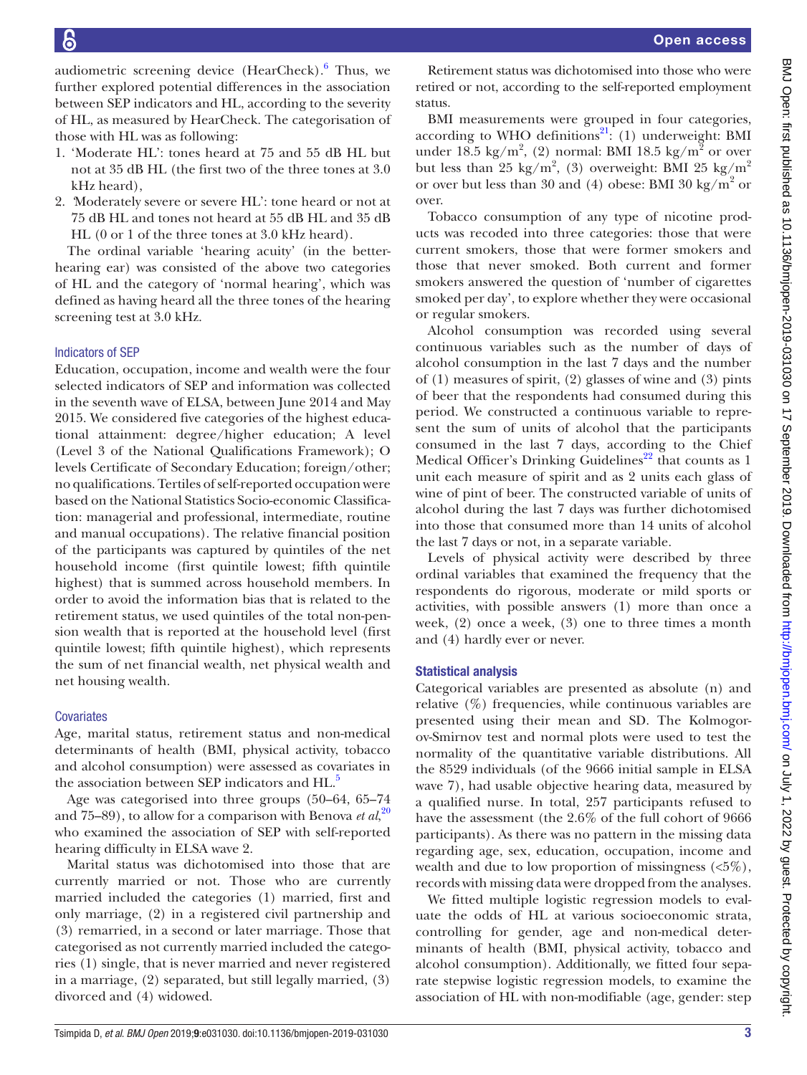audiometric screening device (HearCheck).<sup>6</sup> Thus, we further explored potential differences in the association between SEP indicators and HL, according to the severity of HL, as measured by HearCheck. The categorisation of those with HL was as following:

- 1. 'Moderate HL': tones heard at 75 and 55 dB HL but not at 35 dB HL (the first two of the three tones at 3.0 kHz heard),
- 2. *'*Moderately severe or severe HL': tone heard or not at 75 dB HL and tones not heard at 55 dB HL and 35 dB HL (0 or 1 of the three tones at 3.0 kHz heard).

The ordinal variable 'hearing acuity' (in the betterhearing ear) was consisted of the above two categories of HL and the category of 'normal hearing', which was defined as having heard all the three tones of the hearing screening test at 3.0 kHz.

# Indicators of SEP

Education, occupation, income and wealth were the four selected indicators of SEP and information was collected in the seventh wave of ELSA, between June 2014 and May 2015. We considered five categories of the highest educational attainment: degree/higher education; A level (Level 3 of the National Qualifications Framework); O levels Certificate of Secondary Education; foreign/other; no qualifications. Tertiles of self-reported occupation were based on the National Statistics Socio-economic Classification: managerial and professional, intermediate, routine and manual occupations). The relative financial position of the participants was captured by quintiles of the net household income (first quintile lowest; fifth quintile highest) that is summed across household members. In order to avoid the information bias that is related to the retirement status, we used quintiles of the total non-pension wealth that is reported at the household level (first quintile lowest; fifth quintile highest), which represents the sum of net financial wealth, net physical wealth and net housing wealth.

## **Covariates**

Age, marital status, retirement status and non-medical determinants of health (BMI, physical activity, tobacco and alcohol consumption) were assessed as covariates in the association between SEP indicators and HL.<sup>[5](#page-10-4)</sup>

Age was categorised into three groups (50–64, 65–74 and 75–89), to allow for a comparison with Benova *et al*,<sup>[20](#page-10-19)</sup> who examined the association of SEP with self-reported hearing difficulty in ELSA wave 2.

Marital status was dichotomised into those that are currently married or not. Those who are currently married included the categories (1) married, first and only marriage, (2) in a registered civil partnership and (3) remarried, in a second or later marriage. Those that categorised as not currently married included the categories (1) single, that is never married and never registered in a marriage, (2) separated, but still legally married, (3) divorced and (4) widowed.

Retirement status was dichotomised into those who were retired or not, according to the self-reported employment status.

Open access

BMI measurements were grouped in four categories, according to WHO definitions<sup>21</sup>: (1) underweight: BMI under 18.5 kg/m<sup>2</sup>, (2) normal: BMI 18.5 kg/m<sup>2</sup> or over but less than 25 kg/m<sup>2</sup>, (3) overweight: BMI 25 kg/m<sup>2</sup> or over but less than 30 and (4) obese: BMI 30 kg/ $\text{m}^2$  or over.

Tobacco consumption of any type of nicotine products was recoded into three categories: those that were current smokers, those that were former smokers and those that never smoked. Both current and former smokers answered the question of 'number of cigarettes smoked per day', to explore whether they were occasional or regular smokers.

Alcohol consumption was recorded using several continuous variables such as the number of days of alcohol consumption in the last 7 days and the number of (1) measures of spirit, (2) glasses of wine and (3) pints of beer that the respondents had consumed during this period. We constructed a continuous variable to represent the sum of units of alcohol that the participants consumed in the last 7 days, according to the Chief Medical Officer's Drinking Guidelines<sup>22</sup> that counts as 1 unit each measure of spirit and as 2 units each glass of wine of pint of beer. The constructed variable of units of alcohol during the last 7 days was further dichotomised into those that consumed more than 14 units of alcohol the last 7 days or not, in a separate variable.

Levels of physical activity were described by three ordinal variables that examined the frequency that the respondents do rigorous, moderate or mild sports or activities, with possible answers (1) more than once a week, (2) once a week, (3) one to three times a month and (4) hardly ever or never.

## Statistical analysis

Categorical variables are presented as absolute (n) and relative (%) frequencies, while continuous variables are presented using their mean and SD. The Kolmogorov-Smirnov test and normal plots were used to test the normality of the quantitative variable distributions. All the 8529 individuals (of the 9666 initial sample in ELSA wave 7), had usable objective hearing data, measured by a qualified nurse. In total, 257 participants refused to have the assessment (the 2.6% of the full cohort of 9666 participants). As there was no pattern in the missing data regarding age, sex, education, occupation, income and wealth and due to low proportion of missingness (<5%), records with missing data were dropped from the analyses.

We fitted multiple logistic regression models to evaluate the odds of HL at various socioeconomic strata, controlling for gender, age and non-medical determinants of health (BMI, physical activity, tobacco and alcohol consumption). Additionally, we fitted four separate stepwise logistic regression models, to examine the association of HL with non-modifiable (age, gender: step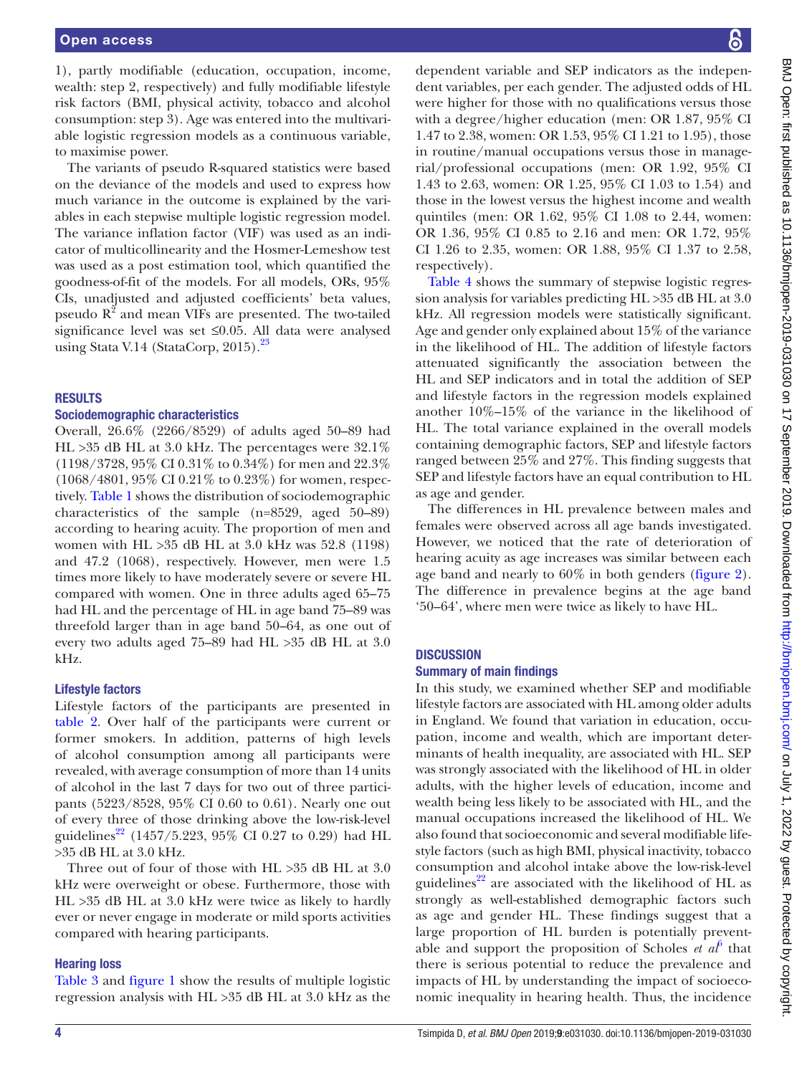1), partly modifiable (education, occupation, income, wealth: step 2, respectively) and fully modifiable lifestyle risk factors (BMI, physical activity, tobacco and alcohol consumption: step 3). Age was entered into the multivariable logistic regression models as a continuous variable, to maximise power.

The variants of pseudo R-squared statistics were based on the deviance of the models and used to express how much variance in the outcome is explained by the variables in each stepwise multiple logistic regression model. The variance inflation factor (VIF) was used as an indicator of multicollinearity and the Hosmer-Lemeshow test was used as a post estimation tool, which quantified the goodness-of-fit of the models. For all models, ORs, 95% CIs, unadjusted and adjusted coefficients' beta values, pseudo  $R^2$  and mean VIFs are presented. The two-tailed significance level was set ≤0.05. All data were analysed using Stata V.14 (StataCorp,  $2015$ ).<sup>23</sup>

## **RESULTS**

## Sociodemographic characteristics

Overall, 26.6% (2266/8529) of adults aged 50–89 had HL >35 dB HL at 3.0 kHz. The percentages were 32.1% (1198/3728, 95% CI 0.31% to 0.34%) for men and 22.3% (1068/4801, 95% CI 0.21% to 0.23%) for women, respectively. [Table](#page-4-0) 1 shows the distribution of sociodemographic characteristics of the sample (n=8529, aged 50–89) according to hearing acuity. The proportion of men and women with HL >35 dB HL at 3.0 kHz was 52.8 (1198) and 47.2 (1068), respectively. However, men were 1.5 times more likely to have moderately severe or severe HL compared with women. One in three adults aged 65–75 had HL and the percentage of HL in age band 75–89 was threefold larger than in age band 50–64, as one out of every two adults aged 75–89 had HL >35 dB HL at 3.0 kHz.

## Lifestyle factors

Lifestyle factors of the participants are presented in [table](#page-5-0) 2. Over half of the participants were current or former smokers. In addition, patterns of high levels of alcohol consumption among all participants were revealed, with average consumption of more than 14 units of alcohol in the last 7 days for two out of three participants (5223/8528, 95% CI 0.60 to 0.61). Nearly one out of every three of those drinking above the low-risk-level guidelines<sup>22</sup> (1457/5.223, 95% CI 0.27 to 0.29) had HL >35 dB HL at 3.0 kHz.

Three out of four of those with HL >35 dB HL at 3.0 kHz were overweight or obese. Furthermore, those with HL >35 dB HL at 3.0 kHz were twice as likely to hardly ever or never engage in moderate or mild sports activities compared with hearing participants.

# Hearing loss

[Table](#page-6-0) 3 and [figure](#page-7-0) 1 show the results of multiple logistic regression analysis with HL >35 dB HL at 3.0 kHz as the

dependent variable and SEP indicators as the independent variables, per each gender. The adjusted odds of HL were higher for those with no qualifications versus those with a degree/higher education (men: OR 1.87, 95% CI 1.47 to 2.38, women: OR 1.53, 95% CI 1.21 to 1.95), those in routine/manual occupations versus those in managerial/professional occupations (men: OR 1.92, 95% CI 1.43 to 2.63, women: OR 1.25, 95% CI 1.03 to 1.54) and those in the lowest versus the highest income and wealth quintiles (men: OR 1.62, 95% CI 1.08 to 2.44, women: OR 1.36, 95% CI 0.85 to 2.16 and men: OR 1.72, 95% CI 1.26 to 2.35, women: OR 1.88, 95% CI 1.37 to 2.58, respectively).

[Table](#page-8-0) 4 shows the summary of stepwise logistic regression analysis for variables predicting HL >35 dB HL at 3.0 kHz. All regression models were statistically significant. Age and gender only explained about 15% of the variance in the likelihood of HL. The addition of lifestyle factors attenuated significantly the association between the HL and SEP indicators and in total the addition of SEP and lifestyle factors in the regression models explained another 10%–15% of the variance in the likelihood of HL. The total variance explained in the overall models containing demographic factors, SEP and lifestyle factors ranged between 25% and 27%. This finding suggests that SEP and lifestyle factors have an equal contribution to HL as age and gender.

The differences in HL prevalence between males and females were observed across all age bands investigated. However, we noticed that the rate of deterioration of hearing acuity as age increases was similar between each age band and nearly to 60% in both genders [\(figure](#page-9-0) 2). The difference in prevalence begins at the age band '50–64', where men were twice as likely to have HL.

# **DISCUSSION**

# Summary of main findings

In this study, we examined whether SEP and modifiable lifestyle factors are associated with HL among older adults in England. We found that variation in education, occupation, income and wealth, which are important determinants of health inequality, are associated with HL. SEP was strongly associated with the likelihood of HL in older adults, with the higher levels of education, income and wealth being less likely to be associated with HL, and the manual occupations increased the likelihood of HL. We also found that socioeconomic and several modifiable lifestyle factors (such as high BMI, physical inactivity, tobacco consumption and alcohol intake above the low-risk-level guidelines<sup>22</sup> are associated with the likelihood of HL as strongly as well-established demographic factors such as age and gender HL. These findings suggest that a large proportion of HL burden is potentially preventable and support the proposition of Scholes  $et\ a^6$  $et\ a^6$  that there is serious potential to reduce the prevalence and impacts of HL by understanding the impact of socioeconomic inequality in hearing health. Thus, the incidence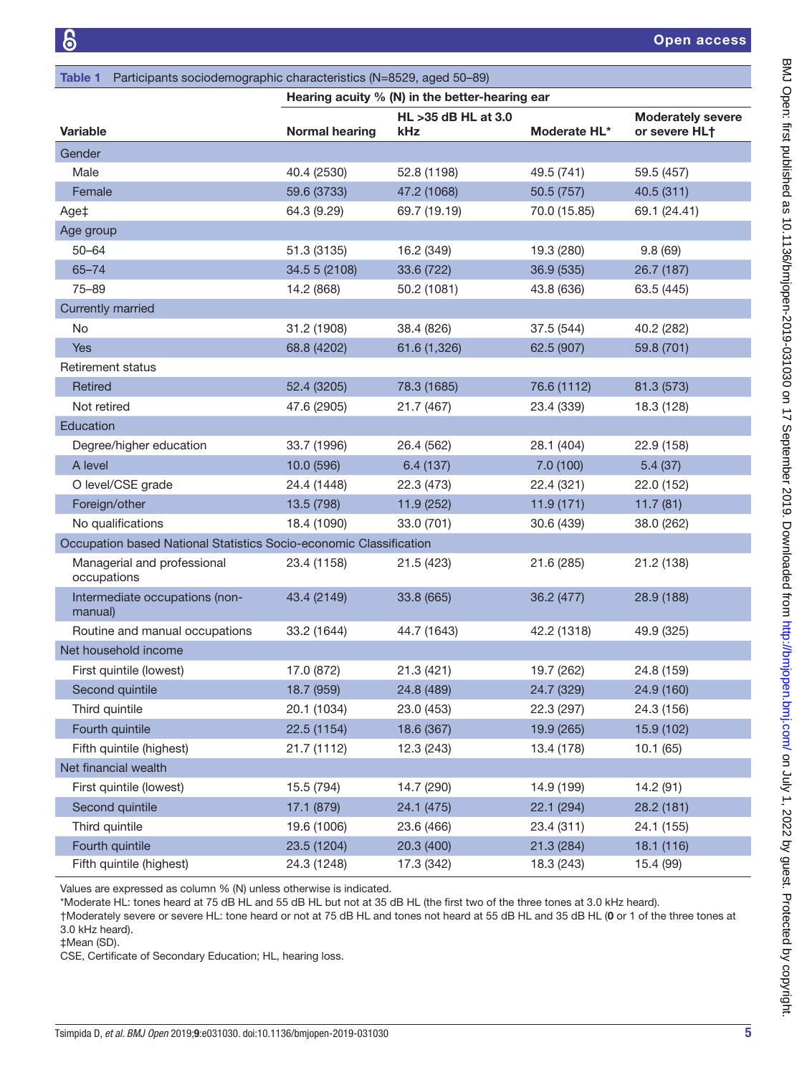<span id="page-4-0"></span>

| Participants sociodemographic characteristics (N=8529, aged 50-89)<br>Table 1 |                       |                                                |              |                                           |
|-------------------------------------------------------------------------------|-----------------------|------------------------------------------------|--------------|-------------------------------------------|
|                                                                               |                       | Hearing acuity % (N) in the better-hearing ear |              |                                           |
| <b>Variable</b>                                                               | <b>Normal hearing</b> | HL > 35 dB HL at 3.0<br>kHz                    | Moderate HL* | <b>Moderately severe</b><br>or severe HL+ |
| Gender                                                                        |                       |                                                |              |                                           |
| Male                                                                          | 40.4 (2530)           | 52.8 (1198)                                    | 49.5 (741)   | 59.5 (457)                                |
| Female                                                                        | 59.6 (3733)           | 47.2 (1068)                                    | 50.5 (757)   | 40.5 (311)                                |
| Age‡                                                                          | 64.3 (9.29)           | 69.7 (19.19)                                   | 70.0 (15.85) | 69.1 (24.41)                              |
| Age group                                                                     |                       |                                                |              |                                           |
| $50 - 64$                                                                     | 51.3 (3135)           | 16.2 (349)                                     | 19.3 (280)   | 9.8(69)                                   |
| $65 - 74$                                                                     | 34.5 5 (2108)         | 33.6 (722)                                     | 36.9 (535)   | 26.7 (187)                                |
| $75 - 89$                                                                     | 14.2 (868)            | 50.2 (1081)                                    | 43.8 (636)   | 63.5 (445)                                |
| <b>Currently married</b>                                                      |                       |                                                |              |                                           |
| No                                                                            | 31.2 (1908)           | 38.4 (826)                                     | 37.5 (544)   | 40.2 (282)                                |
| <b>Yes</b>                                                                    | 68.8 (4202)           | 61.6 (1,326)                                   | 62.5 (907)   | 59.8 (701)                                |
| <b>Retirement status</b>                                                      |                       |                                                |              |                                           |
| Retired                                                                       | 52.4 (3205)           | 78.3 (1685)                                    | 76.6 (1112)  | 81.3 (573)                                |
| Not retired                                                                   | 47.6 (2905)           | 21.7 (467)                                     | 23.4 (339)   | 18.3 (128)                                |
| Education                                                                     |                       |                                                |              |                                           |
| Degree/higher education                                                       | 33.7 (1996)           | 26.4 (562)                                     | 28.1 (404)   | 22.9 (158)                                |
| A level                                                                       | 10.0 (596)            | 6.4(137)                                       | 7.0(100)     | 5.4(37)                                   |
| O level/CSE grade                                                             | 24.4 (1448)           | 22.3 (473)                                     | 22.4 (321)   | 22.0 (152)                                |
| Foreign/other                                                                 | 13.5 (798)            | 11.9 (252)                                     | 11.9(171)    | 11.7(81)                                  |
| No qualifications                                                             | 18.4 (1090)           | 33.0 (701)                                     | 30.6 (439)   | 38.0 (262)                                |
| Occupation based National Statistics Socio-economic Classification            |                       |                                                |              |                                           |
| Managerial and professional<br>occupations                                    | 23.4 (1158)           | 21.5 (423)                                     | 21.6 (285)   | 21.2 (138)                                |
| Intermediate occupations (non-<br>manual)                                     | 43.4 (2149)           | 33.8 (665)                                     | 36.2 (477)   | 28.9 (188)                                |
| Routine and manual occupations                                                | 33.2 (1644)           | 44.7 (1643)                                    | 42.2 (1318)  | 49.9 (325)                                |
| Net household income                                                          |                       |                                                |              |                                           |
| First quintile (lowest)                                                       | 17.0 (872)            | 21.3(421)                                      | 19.7 (262)   | 24.8 (159)                                |
| Second quintile                                                               | 18.7 (959)            | 24.8 (489)                                     | 24.7 (329)   | 24.9 (160)                                |
| Third quintile                                                                | 20.1 (1034)           | 23.0 (453)                                     | 22.3 (297)   | 24.3 (156)                                |
| Fourth quintile                                                               | 22.5 (1154)           | 18.6 (367)                                     | 19.9 (265)   | 15.9 (102)                                |
| Fifth quintile (highest)                                                      | 21.7 (1112)           | 12.3 (243)                                     | 13.4 (178)   | 10.1 (65)                                 |
| Net financial wealth                                                          |                       |                                                |              |                                           |
| First quintile (lowest)                                                       | 15.5 (794)            | 14.7 (290)                                     | 14.9 (199)   | 14.2 (91)                                 |
| Second quintile                                                               | 17.1 (879)            | 24.1 (475)                                     | 22.1 (294)   | 28.2 (181)                                |
| Third quintile                                                                | 19.6 (1006)           | 23.6 (466)                                     | 23.4 (311)   | 24.1 (155)                                |
| Fourth quintile                                                               | 23.5 (1204)           | 20.3 (400)                                     | 21.3 (284)   | 18.1 (116)                                |
| Fifth quintile (highest)                                                      | 24.3 (1248)           | 17.3 (342)                                     | 18.3 (243)   | 15.4 (99)                                 |

Values are expressed as column % (N) unless otherwise is indicated.

\*Moderate HL: tones heard at 75 dB HL and 55 dB HL but not at 35 dB HL (the first two of the three tones at 3.0 kHz heard).

†Moderately severe or severe HL: tone heard or not at 75 dB HL and tones not heard at 55 dB HL and 35 dB HL (0 or 1 of the three tones at 3.0 kHz heard).

‡Mean (SD).

CSE, Certificate of Secondary Education; HL, hearing loss.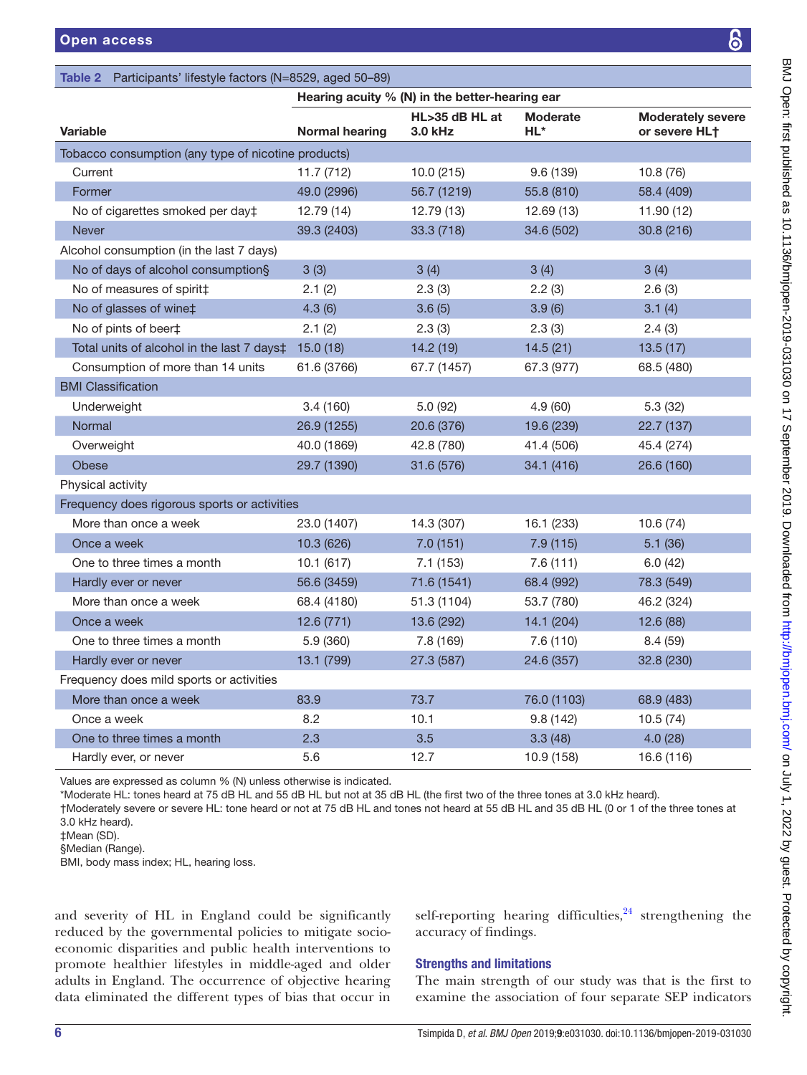<span id="page-5-0"></span>

| Table 2 Participants' lifestyle factors (N=8529, aged 50-89)   |                | Hearing acuity $% (N)$ in the better-hearing ear |                        |                                           |
|----------------------------------------------------------------|----------------|--------------------------------------------------|------------------------|-------------------------------------------|
| <b>Variable</b>                                                | Normal hearing | HL>35 dB HL at<br>3.0 kHz                        | <b>Moderate</b><br>HL* | <b>Moderately severe</b><br>or severe HL+ |
| Tobacco consumption (any type of nicotine products)            |                |                                                  |                        |                                           |
| Current                                                        | 11.7 (712)     | 10.0(215)                                        | 9.6(139)               | 10.8(76)                                  |
| Former                                                         | 49.0 (2996)    | 56.7 (1219)                                      | 55.8 (810)             | 58.4 (409)                                |
| No of cigarettes smoked per day‡                               | 12.79(14)      | 12.79 (13)                                       | 12.69(13)              | 11.90 (12)                                |
| <b>Never</b>                                                   | 39.3 (2403)    | 33.3 (718)                                       | 34.6 (502)             | 30.8 (216)                                |
| Alcohol consumption (in the last 7 days)                       |                |                                                  |                        |                                           |
| No of days of alcohol consumption§                             | 3(3)           | 3(4)                                             | 3(4)                   | 3(4)                                      |
| No of measures of spirit‡                                      | 2.1(2)         | 2.3(3)                                           | 2.2(3)                 | 2.6(3)                                    |
| No of glasses of wine‡                                         | 4.3(6)         | 3.6(5)                                           | 3.9(6)                 | 3.1(4)                                    |
| No of pints of beer‡                                           | 2.1(2)         | 2.3(3)                                           | 2.3(3)                 | 2.4(3)                                    |
| Total units of alcohol in the last 7 days $\ddagger$ 15.0 (18) |                | 14.2(19)                                         | 14.5(21)               | 13.5(17)                                  |
| Consumption of more than 14 units                              | 61.6 (3766)    | 67.7 (1457)                                      | 67.3 (977)             | 68.5 (480)                                |
| <b>BMI Classification</b>                                      |                |                                                  |                        |                                           |
| Underweight                                                    | 3.4(160)       | 5.0(92)                                          | 4.9(60)                | 5.3(32)                                   |
| Normal                                                         | 26.9 (1255)    | 20.6 (376)                                       | 19.6 (239)             | 22.7 (137)                                |
| Overweight                                                     | 40.0 (1869)    | 42.8 (780)                                       | 41.4 (506)             | 45.4 (274)                                |
| Obese                                                          | 29.7 (1390)    | 31.6 (576)                                       | 34.1 (416)             | 26.6 (160)                                |
| Physical activity                                              |                |                                                  |                        |                                           |
| Frequency does rigorous sports or activities                   |                |                                                  |                        |                                           |
| More than once a week                                          | 23.0 (1407)    | 14.3 (307)                                       | 16.1 (233)             | 10.6(74)                                  |
| Once a week                                                    | 10.3 (626)     | 7.0(151)                                         | 7.9 (115)              | 5.1(36)                                   |
| One to three times a month                                     | 10.1(617)      | 7.1(153)                                         | 7.6(111)               | 6.0(42)                                   |
| Hardly ever or never                                           | 56.6 (3459)    | 71.6 (1541)                                      | 68.4 (992)             | 78.3 (549)                                |
| More than once a week                                          | 68.4 (4180)    | 51.3 (1104)                                      | 53.7 (780)             | 46.2 (324)                                |
| Once a week                                                    | 12.6 (771)     | 13.6 (292)                                       | 14.1 (204)             | 12.6 (88)                                 |
| One to three times a month                                     | 5.9 (360)      | 7.8 (169)                                        | 7.6 (110)              | 8.4(59)                                   |
| Hardly ever or never                                           | 13.1 (799)     | 27.3 (587)                                       | 24.6 (357)             | 32.8 (230)                                |
| Frequency does mild sports or activities                       |                |                                                  |                        |                                           |
| More than once a week                                          | 83.9           | 73.7                                             | 76.0 (1103)            | 68.9 (483)                                |
| Once a week                                                    | 8.2            | 10.1                                             | 9.8(142)               | 10.5(74)                                  |
| One to three times a month                                     | 2.3            | 3.5                                              | 3.3(48)                | 4.0(28)                                   |
| Hardly ever, or never                                          | 5.6            | 12.7                                             | 10.9 (158)             | 16.6 (116)                                |

Values are expressed as column % (N) unless otherwise is indicated.

\*Moderate HL: tones heard at 75 dB HL and 55 dB HL but not at 35 dB HL (the first two of the three tones at 3.0 kHz heard).

†Moderately severe or severe HL: tone heard or not at 75 dB HL and tones not heard at 55 dB HL and 35 dB HL (0 or 1 of the three tones at 3.0 kHz heard).

‡Mean (SD).

§Median (Range).

BMI, body mass index; HL, hearing loss.

and severity of HL in England could be significantly reduced by the governmental policies to mitigate socioeconomic disparities and public health interventions to promote healthier lifestyles in middle-aged and older adults in England. The occurrence of objective hearing data eliminated the different types of bias that occur in

self-reporting hearing difficulties, $24$  strengthening the accuracy of findings.

# Strengths and limitations

The main strength of our study was that is the first to examine the association of four separate SEP indicators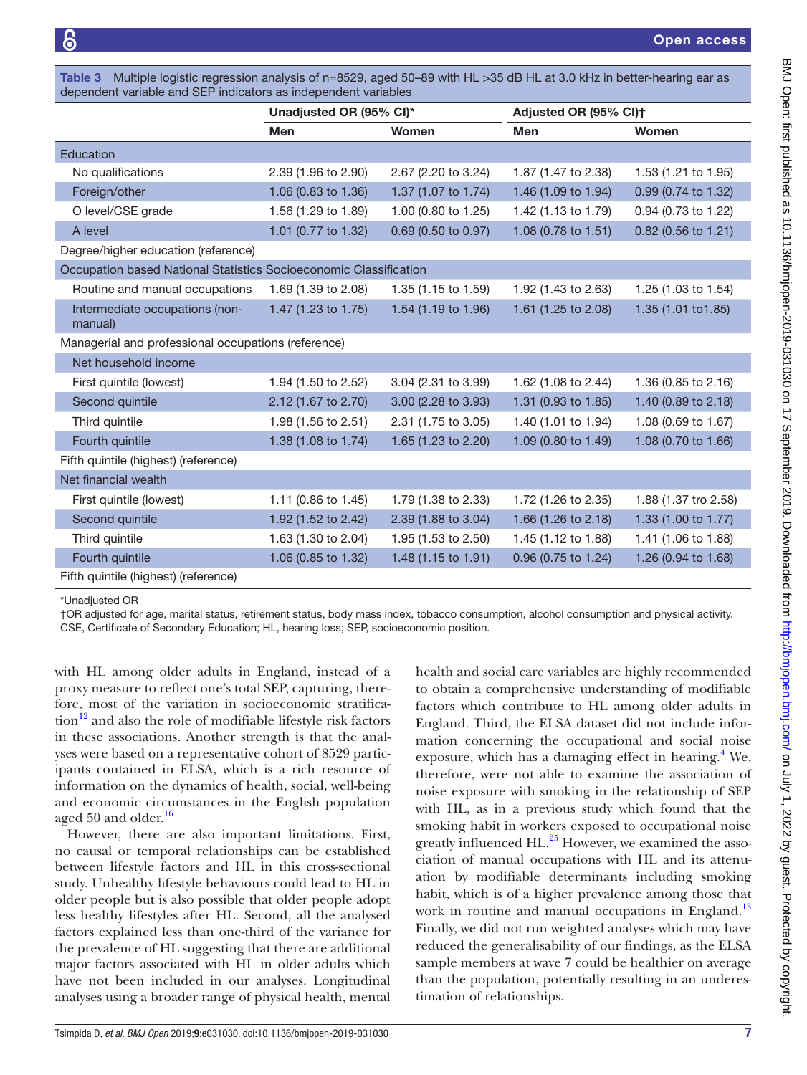<span id="page-6-0"></span>Multiple logistic regression analysis of n=8529, aged 50–89 with HL >35 dB HL at 3.0 kHz in better-hearing ear as dependent variable and SEP indicators as independent variables

|                                                                   | Unadjusted OR (95% CI)* |                     | Adjusted OR (95% CI)+ |                      |
|-------------------------------------------------------------------|-------------------------|---------------------|-----------------------|----------------------|
|                                                                   | <b>Men</b>              | <b>Women</b>        | <b>Men</b>            | Women                |
| Education                                                         |                         |                     |                       |                      |
| No qualifications                                                 | 2.39 (1.96 to 2.90)     | 2.67 (2.20 to 3.24) | 1.87 (1.47 to 2.38)   | 1.53 (1.21 to 1.95)  |
| Foreign/other                                                     | 1.06 (0.83 to 1.36)     | 1.37 (1.07 to 1.74) | 1.46 (1.09 to 1.94)   | 0.99 (0.74 to 1.32)  |
| O level/CSE grade                                                 | 1.56 (1.29 to 1.89)     | 1.00 (0.80 to 1.25) | 1.42 (1.13 to 1.79)   | 0.94 (0.73 to 1.22)  |
| A level                                                           | 1.01 (0.77 to 1.32)     | 0.69 (0.50 to 0.97) | 1.08 (0.78 to 1.51)   | 0.82 (0.56 to 1.21)  |
| Degree/higher education (reference)                               |                         |                     |                       |                      |
| Occupation based National Statistics Socioeconomic Classification |                         |                     |                       |                      |
| Routine and manual occupations                                    | 1.69 (1.39 to 2.08)     | 1.35 (1.15 to 1.59) | 1.92 (1.43 to 2.63)   | 1.25 (1.03 to 1.54)  |
| Intermediate occupations (non-<br>manual)                         | 1.47 (1.23 to 1.75)     | 1.54 (1.19 to 1.96) | 1.61 (1.25 to 2.08)   | 1.35 (1.01 to 1.85)  |
| Managerial and professional occupations (reference)               |                         |                     |                       |                      |
| Net household income                                              |                         |                     |                       |                      |
| First quintile (lowest)                                           | 1.94 (1.50 to 2.52)     | 3.04 (2.31 to 3.99) | 1.62 (1.08 to 2.44)   | 1.36 (0.85 to 2.16)  |
| Second quintile                                                   | 2.12 (1.67 to 2.70)     | 3.00 (2.28 to 3.93) | 1.31 (0.93 to 1.85)   | 1.40 (0.89 to 2.18)  |
| Third quintile                                                    | 1.98 (1.56 to 2.51)     | 2.31 (1.75 to 3.05) | 1.40 (1.01 to 1.94)   | 1.08 (0.69 to 1.67)  |
| Fourth quintile                                                   | 1.38 (1.08 to 1.74)     | 1.65 (1.23 to 2.20) | 1.09 (0.80 to 1.49)   | 1.08 (0.70 to 1.66)  |
| Fifth quintile (highest) (reference)                              |                         |                     |                       |                      |
| Net financial wealth                                              |                         |                     |                       |                      |
| First quintile (lowest)                                           | 1.11 (0.86 to 1.45)     | 1.79 (1.38 to 2.33) | 1.72 (1.26 to 2.35)   | 1.88 (1.37 tro 2.58) |
| Second quintile                                                   | 1.92 (1.52 to 2.42)     | 2.39 (1.88 to 3.04) | 1.66 (1.26 to 2.18)   | 1.33 (1.00 to 1.77)  |
| Third quintile                                                    | 1.63 (1.30 to 2.04)     | 1.95 (1.53 to 2.50) | 1.45 (1.12 to 1.88)   | 1.41 (1.06 to 1.88)  |
| Fourth quintile                                                   | 1.06 (0.85 to 1.32)     | 1.48 (1.15 to 1.91) | 0.96 (0.75 to 1.24)   | 1.26 (0.94 to 1.68)  |
| Fifth quintile (highest) (reference)                              |                         |                     |                       |                      |

\*Unadjusted OR

†OR adjusted for age, marital status, retirement status, body mass index, tobacco consumption, alcohol consumption and physical activity. CSE, Certificate of Secondary Education; HL, hearing loss; SEP, socioeconomic position.

with HL among older adults in England, instead of a proxy measure to reflect one's total SEP, capturing, therefore, most of the variation in socioeconomic stratifica- $\[\text{tion}^{12}\]$  and also the role of modifiable lifestyle risk factors in these associations. Another strength is that the analyses were based on a representative cohort of 8529 participants contained in ELSA, which is a rich resource of information on the dynamics of health, social, well-being and economic circumstances in the English population aged 50 and older.<sup>16</sup>

However, there are also important limitations. First, no causal or temporal relationships can be established between lifestyle factors and HL in this cross-sectional study. Unhealthy lifestyle behaviours could lead to HL in older people but is also possible that older people adopt less healthy lifestyles after HL. Second, all the analysed factors explained less than one-third of the variance for the prevalence of HL suggesting that there are additional major factors associated with HL in older adults which have not been included in our analyses. Longitudinal analyses using a broader range of physical health, mental

health and social care variables are highly recommended to obtain a comprehensive understanding of modifiable factors which contribute to HL among older adults in England. Third, the ELSA dataset did not include information concerning the occupational and social noise exposure, which has a damaging effect in hearing. $4$  We, therefore, were not able to examine the association of noise exposure with smoking in the relationship of SEP with HL, as in a previous study which found that the smoking habit in workers exposed to occupational noise greatly influenced  $HL$ <sup>[25](#page-10-24)</sup> However, we examined the association of manual occupations with HL and its attenuation by modifiable determinants including smoking habit, which is of a higher prevalence among those that work in routine and manual occupations in England.<sup>[13](#page-10-12)</sup> Finally, we did not run weighted analyses which may have reduced the generalisability of our findings, as the ELSA sample members at wave 7 could be healthier on average than the population, potentially resulting in an underestimation of relationships.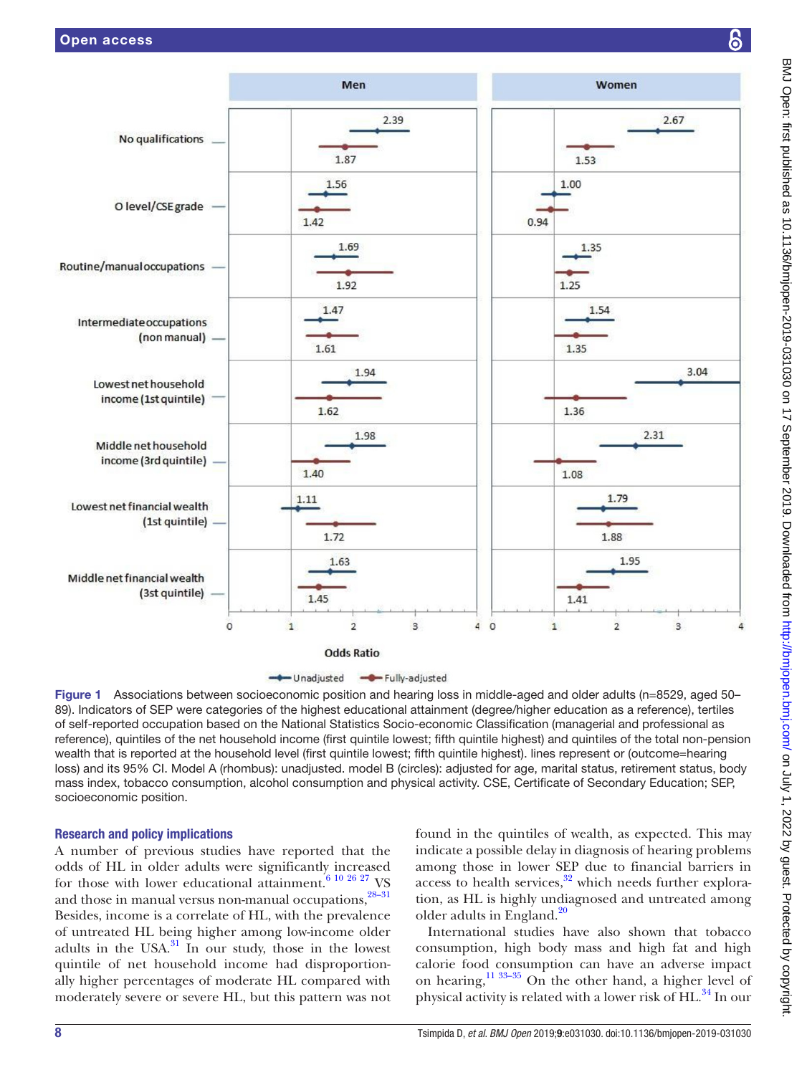

<span id="page-7-0"></span>Figure 1 Associations between socioeconomic position and hearing loss in middle-aged and older adults (n=8529, aged 50– 89). Indicators of SEP were categories of the highest educational attainment (degree/higher education as a reference), tertiles of self-reported occupation based on the National Statistics Socio-economic Classification (managerial and professional as reference), quintiles of the net household income (first quintile lowest; fifth quintile highest) and quintiles of the total non-pension wealth that is reported at the household level (first quintile lowest; fifth quintile highest). lines represent or (outcome=hearing loss) and its 95% CI. Model A (rhombus): unadjusted. model B (circles): adjusted for age, marital status, retirement status, body mass index, tobacco consumption, alcohol consumption and physical activity. CSE, Certificate of Secondary Education; SEP, socioeconomic position.

## Research and policy implications

A number of previous studies have reported that the odds of HL in older adults were significantly increased for those with lower educational attainment.<sup>6 10 26 27</sup> VS and those in manual versus non-manual occupations,  $28-31$ Besides, income is a correlate of HL, with the prevalence of untreated HL being higher among low-income older adults in the USA. $31$  In our study, those in the lowest quintile of net household income had disproportionally higher percentages of moderate HL compared with moderately severe or severe HL, but this pattern was not

found in the quintiles of wealth, as expected. This may indicate a possible delay in diagnosis of hearing problems among those in lower SEP due to financial barriers in access to health services, $32$  which needs further exploration, as HL is highly undiagnosed and untreated among older adults in England. $^{20}$ 

International studies have also shown that tobacco consumption, high body mass and high fat and high calorie food consumption can have an adverse impact on hearing,<sup>[11 33–35](#page-10-10)</sup> On the other hand, a higher level of physical activity is related with a lower risk of HL.<sup>[34](#page-10-28)</sup> In our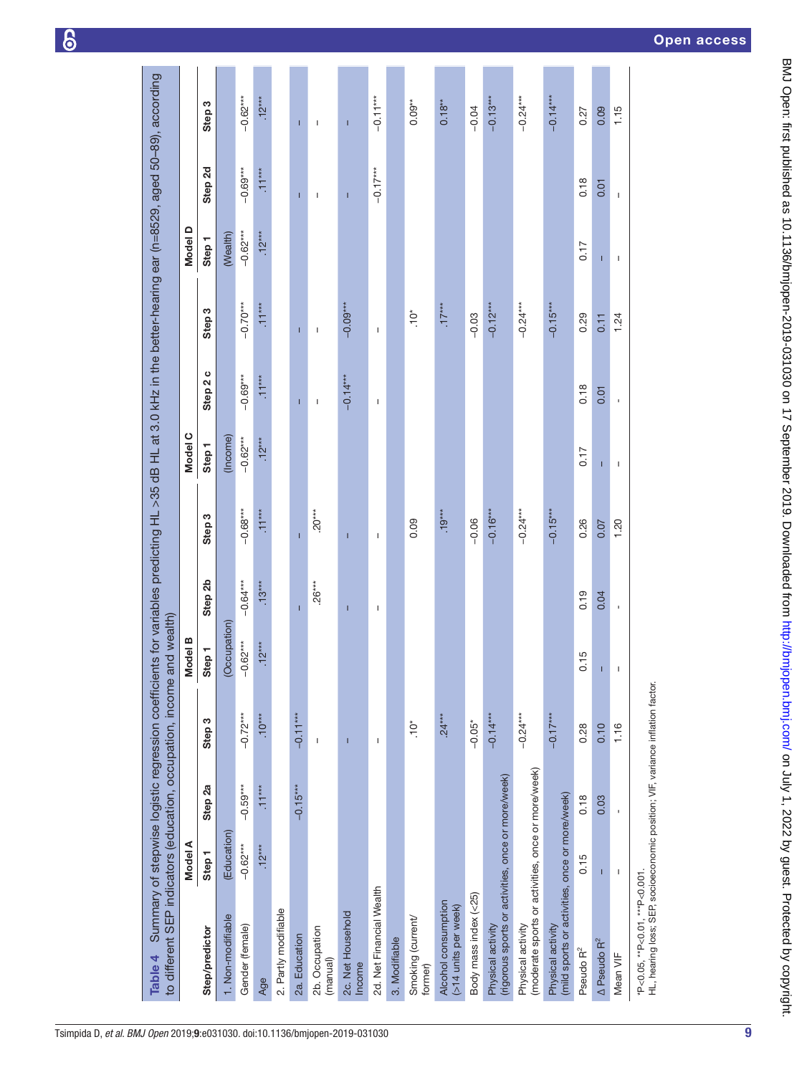<span id="page-8-0"></span>

| to different SEP indicators (education, occupation, income and wealth)<br>Table 4                               |                   |                    |                  |                   |                    |            |                   |              | Summary of stepwise logistic regression coefficients for variables predicting HL >35 dB HL at 3.0 kHz in the better-hearing ear (n=8529, aged 50-89), according |                   |                    |            |
|-----------------------------------------------------------------------------------------------------------------|-------------------|--------------------|------------------|-------------------|--------------------|------------|-------------------|--------------|-----------------------------------------------------------------------------------------------------------------------------------------------------------------|-------------------|--------------------|------------|
|                                                                                                                 | Model A           |                    |                  | Model B           |                    |            | Model C           |              |                                                                                                                                                                 | Model D           |                    |            |
| Step/predictor                                                                                                  | Step <sub>1</sub> | Step <sub>2a</sub> | Step 3           | Step <sub>1</sub> | Step <sub>2b</sub> | Step 3     | Step <sub>1</sub> | Step 2 c     | Step 3                                                                                                                                                          | Step <sub>1</sub> | Step <sub>2d</sub> | Step 3     |
| 1. Non-modifiable                                                                                               | (Education)       |                    |                  | (Occupation)      |                    |            | (Income)          |              |                                                                                                                                                                 | (Wealth)          |                    |            |
| Gender (female)                                                                                                 | $-0.62***$        | $-0.59***$         | $-0.72***$       | $-0.62***$        | $-0.64***$         | $-0.68***$ | $-0.62***$        | $-0.69***$   | $-0.70***$                                                                                                                                                      | $-0.62***$        | $-0.69***$         | $-0.62***$ |
| Age                                                                                                             | $.12***$          | $.11***$           | $.10***$         | $.12***$          | $.13***$           | $.11***$   | $.12***$          | $.11***$     | $.11***$                                                                                                                                                        | $.12***$          | $.11***$           | $.12***$   |
| 2. Partly modifiable                                                                                            |                   |                    |                  |                   |                    |            |                   |              |                                                                                                                                                                 |                   |                    |            |
| 2a. Education                                                                                                   |                   | $-0.15***$         | $-0.11***$       |                   | Т                  | ī          |                   | ī            | Т                                                                                                                                                               |                   |                    | Т          |
| 2b. Occupation<br>(manual)                                                                                      |                   |                    | I                |                   | $.26***$           | $20***$    |                   | т            | T                                                                                                                                                               |                   | $\overline{1}$     | T          |
| 2c. Net Household<br>Income                                                                                     |                   |                    | T                |                   |                    |            |                   | $-0.14***$   | $-0.09***$                                                                                                                                                      |                   | Т                  | T          |
| 2d. Net Financial Wealth                                                                                        |                   |                    | $\mathsf I$      |                   | $\mathsf I$        | T          |                   | I            | I                                                                                                                                                               |                   | $-0.17***$         | $-0.11***$ |
| 3. Modifiable                                                                                                   |                   |                    |                  |                   |                    |            |                   |              |                                                                                                                                                                 |                   |                    |            |
| Smoking (current/<br>former)                                                                                    |                   |                    | $\sum_{i=1}^{n}$ |                   |                    | 0.09       |                   |              | $\overline{O}^*$                                                                                                                                                |                   |                    | $0.09***$  |
| Alcohol consumption<br>>14 units per week)                                                                      |                   |                    | $.24***$         |                   |                    | $.19***$   |                   |              | $.17***$                                                                                                                                                        |                   |                    | $0.18***$  |
| Body mass index (<25)                                                                                           |                   |                    | $-0.05*$         |                   |                    | $-0.06$    |                   |              | $-0.03$                                                                                                                                                         |                   |                    | $-0.04$    |
| (rigorous sports or activities, once or more/week)<br>Physical activity                                         |                   |                    | $-0.14***$       |                   |                    | $-0.16***$ |                   |              | $-0.12***$                                                                                                                                                      |                   |                    | $-0.13***$ |
| (moderate sports or activities, once or more/week)<br>Physical activity                                         |                   |                    | $-0.24***$       |                   |                    | $-0.24***$ |                   |              | $-0.24***$                                                                                                                                                      |                   |                    | $-0.24***$ |
| (mild sports or activities, once or more/week)<br>Physical activity                                             |                   |                    | $-0.17***$       |                   |                    | $-0.15***$ |                   |              | $-0.15***$                                                                                                                                                      |                   |                    | $-0.14***$ |
| Pseudo R <sup>2</sup>                                                                                           | 0.15              | 0.18               | 0.28             | 0.15              | 0.19               | 0.26       | 0.17              | 0.18         | 0.29                                                                                                                                                            | 0.17              | 0.18               | 0.27       |
| $\triangle$ Pseudo R <sup>2</sup>                                                                               | T                 | 0.03               | 0.10             | $\mathbf{L}$      | 0.04               | 0.07       |                   | 0.01         | 0.11                                                                                                                                                            |                   | 0.01               | 0.09       |
| Mean VIF                                                                                                        | $\mathbf{I}$      | $\bar{\mathbf{I}}$ | 1.16             |                   | $\mathbf{I}$       | 1.20       | T                 | $\mathbf{I}$ | 1.24                                                                                                                                                            | $\mathsf I$       | Ť                  | 1.15       |
| °P<0.05, *°P<0.01, **P<0.001.<br>H∟, hearing loss; SEP, socioeconomic position; VIF, variance inflation factor. |                   |                    |                  |                   |                    |            |                   |              |                                                                                                                                                                 |                   |                    |            |

 $\epsilon$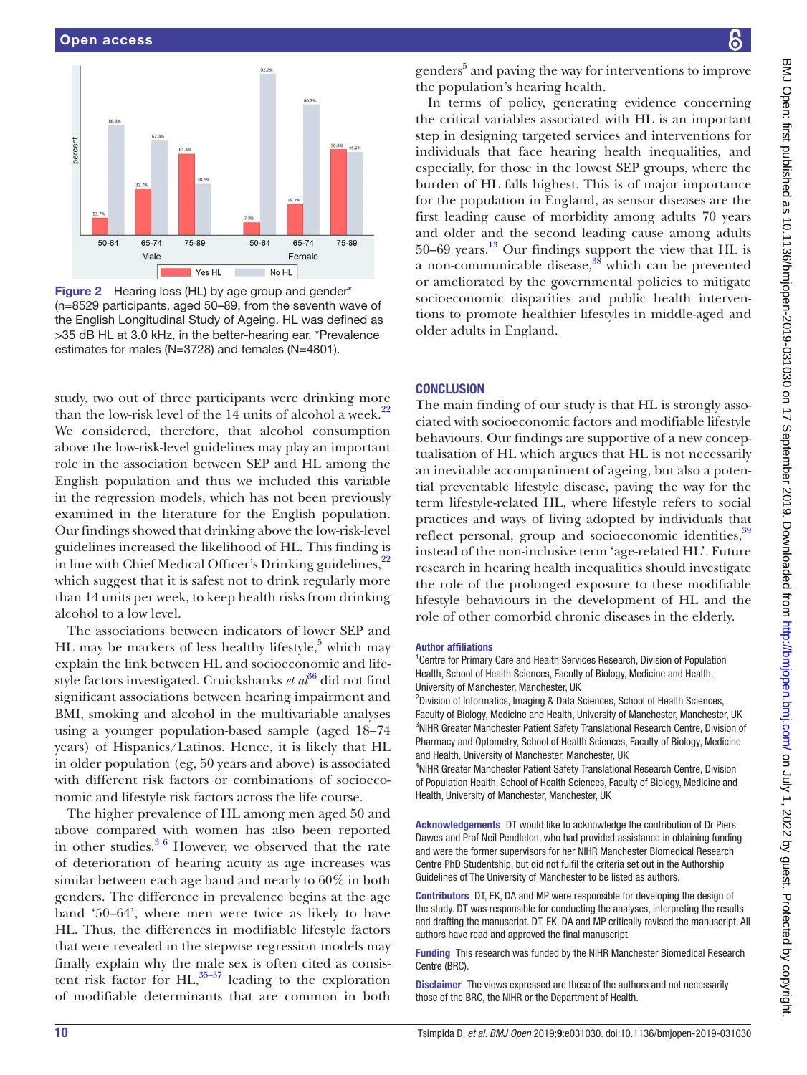

<span id="page-9-0"></span>Figure 2 Hearing loss (HL) by age group and gender\* (n=8529 participants, aged 50–89, from the seventh wave of the English Longitudinal Study of Ageing. HL was defined as >35 dB HL at 3.0 kHz, in the better-hearing ear. \*Prevalence estimates for males (N=3728) and females (N=4801).

study, two out of three participants were drinking more than the low-risk level of the  $14$  units of alcohol a week.<sup>[22](#page-10-21)</sup> We considered, therefore, that alcohol consumption above the low-risk-level guidelines may play an important role in the association between SEP and HL among the English population and thus we included this variable in the regression models, which has not been previously examined in the literature for the English population. Our findings showed that drinking above the low-risk-level guidelines increased the likelihood of HL. This finding is in line with Chief Medical Officer's Drinking guidelines,<sup>[22](#page-10-21)</sup> which suggest that it is safest not to drink regularly more than 14 units per week, to keep health risks from drinking alcohol to a low level.

The associations between indicators of lower SEP and HL may be markers of less healthy lifestyle, $5$  which may explain the link between HL and socioeconomic and lifestyle factors investigated. Cruickshanks *et al*<sup>36</sup> did not find significant associations between hearing impairment and BMI, smoking and alcohol in the multivariable analyses using a younger population-based sample (aged 18–74 years) of Hispanics/Latinos. Hence, it is likely that HL in older population (eg, 50 years and above) is associated with different risk factors or combinations of socioeconomic and lifestyle risk factors across the life course.

The higher prevalence of HL among men aged 50 and above compared with women has also been reported in other studies. $36$  However, we observed that the rate of deterioration of hearing acuity as age increases was similar between each age band and nearly to 60% in both genders. The difference in prevalence begins at the age band '50–64', where men were twice as likely to have HL. Thus, the differences in modifiable lifestyle factors that were revealed in the stepwise regression models may finally explain why the male sex is often cited as consistent risk factor for  $HL$ ,  $35-37$  leading to the exploration of modifiable determinants that are common in both

genders<sup>[5](#page-10-4)</sup> and paving the way for interventions to improve the population's hearing health.

In terms of policy, generating evidence concerning the critical variables associated with HL is an important step in designing targeted services and interventions for individuals that face hearing health inequalities, and especially, for those in the lowest SEP groups, where the burden of HL falls highest. This is of major importance for the population in England, as sensor diseases are the first leading cause of morbidity among adults 70 years and older and the second leading cause among adults  $50-69$  years.<sup>[13](#page-10-12)</sup> Our findings support the view that HL is a non-communicable disease, $38$  which can be prevented or ameliorated by the governmental policies to mitigate socioeconomic disparities and public health interventions to promote healthier lifestyles in middle-aged and older adults in England.

## **CONCLUSION**

The main finding of our study is that HL is strongly associated with socioeconomic factors and modifiable lifestyle behaviours. Our findings are supportive of a new conceptualisation of HL which argues that HL is not necessarily an inevitable accompaniment of ageing, but also a potential preventable lifestyle disease, paving the way for the term lifestyle-related HL, where lifestyle refers to social practices and ways of living adopted by individuals that reflect personal, group and socioeconomic identities,<sup>[39](#page-10-32)</sup> instead of the non-inclusive term 'age-related HL'. Future research in hearing health inequalities should investigate the role of the prolonged exposure to these modifiable lifestyle behaviours in the development of HL and the role of other comorbid chronic diseases in the elderly.

#### Author affiliations

<sup>1</sup> Centre for Primary Care and Health Services Research, Division of Population Health, School of Health Sciences, Faculty of Biology, Medicine and Health, University of Manchester, Manchester, UK

<sup>2</sup> Division of Informatics, Imaging & Data Sciences, School of Health Sciences, Faculty of Biology, Medicine and Health, University of Manchester, Manchester, UK <sup>3</sup>NIHR Greater Manchester Patient Safety Translational Research Centre, Division of Pharmacy and Optometry, School of Health Sciences, Faculty of Biology, Medicine and Health, University of Manchester, Manchester, UK

4 NIHR Greater Manchester Patient Safety Translational Research Centre, Division of Population Health, School of Health Sciences, Faculty of Biology, Medicine and Health, University of Manchester, Manchester, UK

Acknowledgements DT would like to acknowledge the contribution of Dr Piers Dawes and Prof Neil Pendleton, who had provided assistance in obtaining funding and were the former supervisors for her NIHR Manchester Biomedical Research Centre PhD Studentship, but did not fulfil the criteria set out in the Authorship Guidelines of The University of Manchester to be listed as authors.

Contributors DT, EK, DA and MP were responsible for developing the design of the study. DT was responsible for conducting the analyses, interpreting the results and drafting the manuscript. DT, EK, DA and MP critically revised the manuscript. All authors have read and approved the final manuscript.

Funding This research was funded by the NIHR Manchester Biomedical Research Centre (BRC).

Disclaimer The views expressed are those of the authors and not necessarily those of the BRC, the NIHR or the Department of Health.